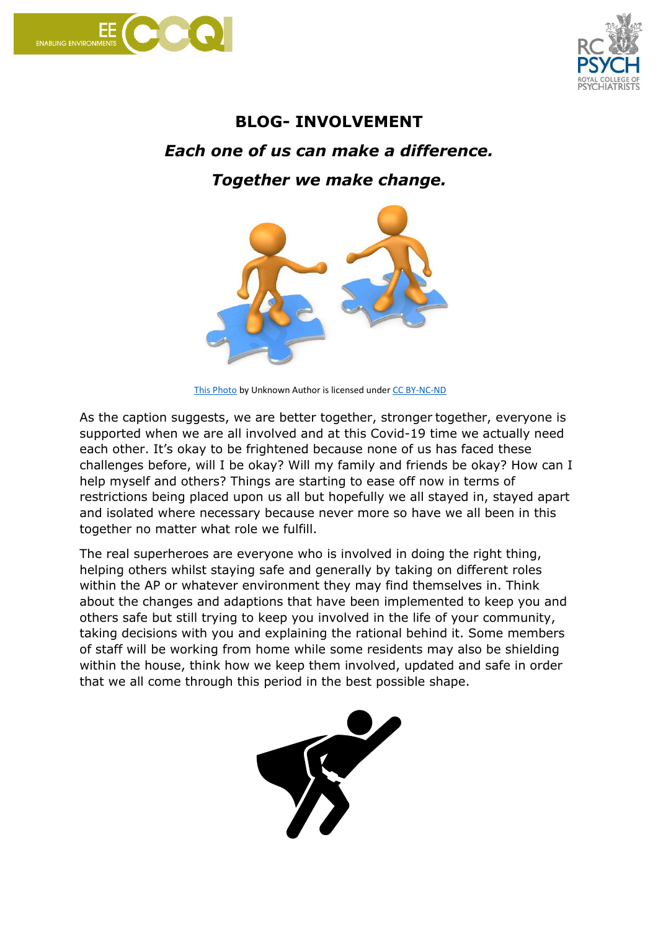



## **BLOG- INVOLVEMENT** *Each one of us can make a difference. Together we make change.*



[This Photo](https://www.insidethearts.com/sticksanddrones/context-versus-urtext-part-2-the-first-time-we-met/) by Unknown Author is licensed unde[r CC BY-NC-ND](https://creativecommons.org/licenses/by-nc-nd/3.0/)

As the caption suggests, we are better together, stronger together, everyone is supported when we are all involved and at this Covid-19 time we actually need each other. It's okay to be frightened because none of us has faced these challenges before, will I be okay? Will my family and friends be okay? How can I help myself and others? Things are starting to ease off now in terms of restrictions being placed upon us all but hopefully we all stayed in, stayed apart and isolated where necessary because never more so have we all been in this together no matter what role we fulfill.

The real superheroes are everyone who is involved in doing the right thing, helping others whilst staying safe and generally by taking on different roles within the AP or whatever environment they may find themselves in. Think about the changes and adaptions that have been implemented to keep you and others safe but still trying to keep you involved in the life of your community, taking decisions with you and explaining the rational behind it. Some members of staff will be working from home while some residents may also be shielding within the house, think how we keep them involved, updated and safe in order that we all come through this period in the best possible shape.